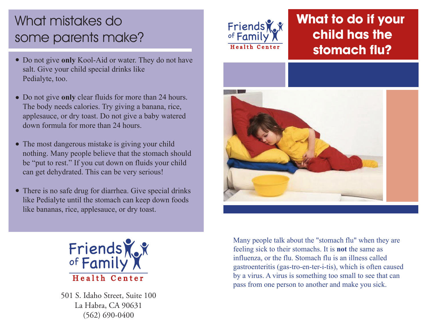# What mistakes do some parents make?

- Do not give **only** Kool-Aid or water. They do not have salt. Give your child special drinks like Pedialyte, too.
- Do not give **only** clear fluids for more than 24 hours. The body needs calories. Try giving a banana, rice, applesauce, or dry toast. Do not give a baby watered down formula for more than 24 hours.
- The most dangerous mistake is giving your child nothing. Many people believe that the stomach should be "put to rest." If you cut down on fluids your child can get dehydrated. This can be very serious!
- There is no safe drug for diarrhea. Give special drinks like Pedialyte until the stomach can keep down foods like bananas, rice, applesauce, or dry toast.



501 S. Idaho Street, Suite 100 La Habra, CA 90631 (562) 690-0400



## **What to do if your child has the stomach flu?**



Many people talk about the "stomach flu" when they are feeling sick to their stomachs. It is **not** the same as influenza, or the flu. Stomach flu is an illness called gastroenteritis (gas-tro-en-ter-i-tis), which is often caused by a virus. A virus is something too small to see that can pass from one person to another and make you sick.